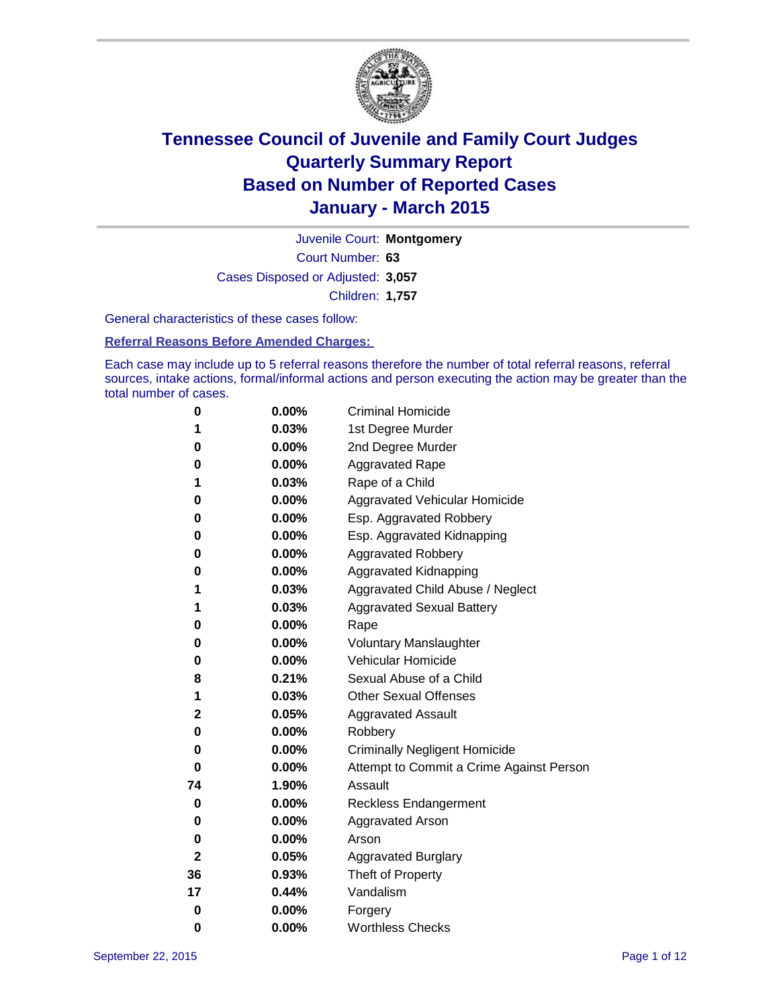

Court Number: **63** Juvenile Court: **Montgomery** Cases Disposed or Adjusted: **3,057** Children: **1,757**

General characteristics of these cases follow:

### **Referral Reasons Before Amended Charges:**

Each case may include up to 5 referral reasons therefore the number of total referral reasons, referral sources, intake actions, formal/informal actions and person executing the action may be greater than the total number of cases.

| 0            | $0.00\%$ | <b>Criminal Homicide</b>                 |
|--------------|----------|------------------------------------------|
| 1            | 0.03%    | 1st Degree Murder                        |
| 0            | 0.00%    | 2nd Degree Murder                        |
| 0            | 0.00%    | <b>Aggravated Rape</b>                   |
| 1            | 0.03%    | Rape of a Child                          |
| 0            | 0.00%    | Aggravated Vehicular Homicide            |
| 0            | 0.00%    | Esp. Aggravated Robbery                  |
| 0            | 0.00%    | Esp. Aggravated Kidnapping               |
| 0            | $0.00\%$ | <b>Aggravated Robbery</b>                |
| 0            | 0.00%    | Aggravated Kidnapping                    |
| 1            | 0.03%    | Aggravated Child Abuse / Neglect         |
| 1            | 0.03%    | <b>Aggravated Sexual Battery</b>         |
| 0            | 0.00%    | Rape                                     |
| 0            | $0.00\%$ | <b>Voluntary Manslaughter</b>            |
| 0            | 0.00%    | <b>Vehicular Homicide</b>                |
| 8            | 0.21%    | Sexual Abuse of a Child                  |
| 1            | 0.03%    | <b>Other Sexual Offenses</b>             |
| 2            | 0.05%    | <b>Aggravated Assault</b>                |
| 0            | 0.00%    | Robbery                                  |
| 0            | 0.00%    | <b>Criminally Negligent Homicide</b>     |
| 0            | 0.00%    | Attempt to Commit a Crime Against Person |
| 74           | 1.90%    | Assault                                  |
| 0            | 0.00%    | <b>Reckless Endangerment</b>             |
| 0            | $0.00\%$ | <b>Aggravated Arson</b>                  |
| 0            | 0.00%    | Arson                                    |
| $\mathbf{2}$ | 0.05%    | <b>Aggravated Burglary</b>               |
| 36           | 0.93%    | Theft of Property                        |
| 17           | 0.44%    | Vandalism                                |
| $\bf{0}$     | 0.00%    | Forgery                                  |
| 0            | 0.00%    | <b>Worthless Checks</b>                  |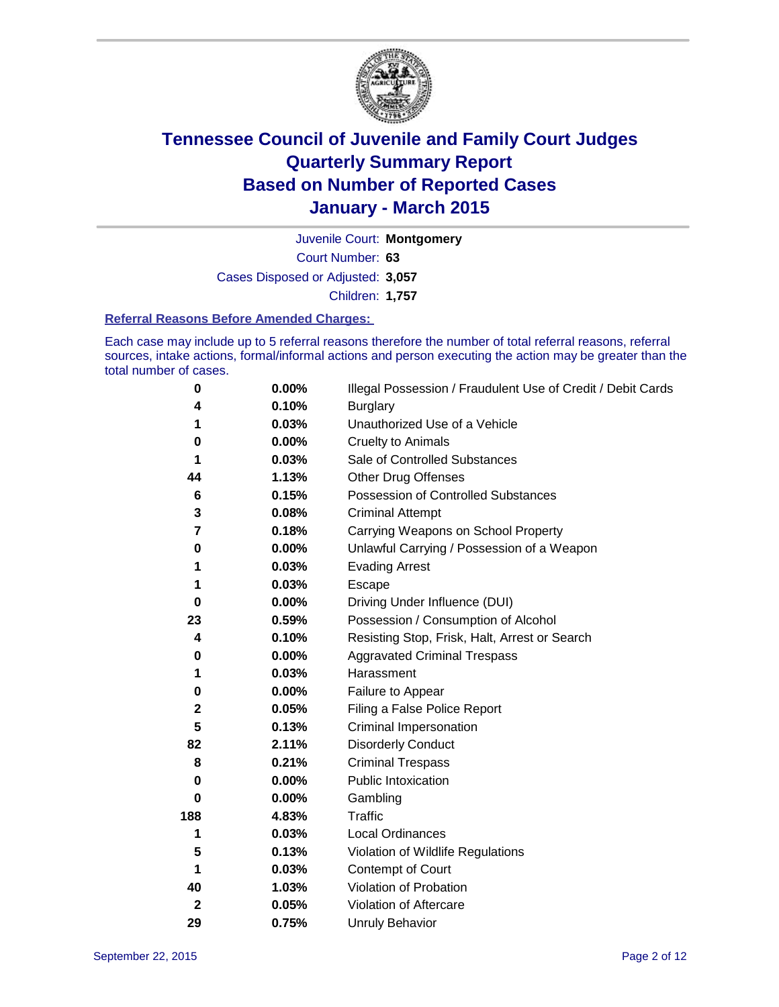

Court Number: **63** Juvenile Court: **Montgomery** Cases Disposed or Adjusted: **3,057** Children: **1,757**

#### **Referral Reasons Before Amended Charges:**

Each case may include up to 5 referral reasons therefore the number of total referral reasons, referral sources, intake actions, formal/informal actions and person executing the action may be greater than the total number of cases.

| 0            | 0.00%    | Illegal Possession / Fraudulent Use of Credit / Debit Cards |
|--------------|----------|-------------------------------------------------------------|
| 4            | 0.10%    | <b>Burglary</b>                                             |
| 1            | 0.03%    | Unauthorized Use of a Vehicle                               |
| 0            | 0.00%    | <b>Cruelty to Animals</b>                                   |
| 1            | 0.03%    | Sale of Controlled Substances                               |
| 44           | 1.13%    | <b>Other Drug Offenses</b>                                  |
| 6            | 0.15%    | Possession of Controlled Substances                         |
| 3            | 0.08%    | <b>Criminal Attempt</b>                                     |
| 7            | 0.18%    | Carrying Weapons on School Property                         |
| 0            | 0.00%    | Unlawful Carrying / Possession of a Weapon                  |
| 1            | 0.03%    | <b>Evading Arrest</b>                                       |
| 1            | 0.03%    | Escape                                                      |
| 0            | 0.00%    | Driving Under Influence (DUI)                               |
| 23           | 0.59%    | Possession / Consumption of Alcohol                         |
| 4            | 0.10%    | Resisting Stop, Frisk, Halt, Arrest or Search               |
| 0            | 0.00%    | <b>Aggravated Criminal Trespass</b>                         |
| 1            | 0.03%    | Harassment                                                  |
| 0            | 0.00%    | Failure to Appear                                           |
| $\mathbf 2$  | 0.05%    | Filing a False Police Report                                |
| 5            | 0.13%    | Criminal Impersonation                                      |
| 82           | 2.11%    | <b>Disorderly Conduct</b>                                   |
| 8            | 0.21%    | <b>Criminal Trespass</b>                                    |
| 0            | $0.00\%$ | <b>Public Intoxication</b>                                  |
| 0            | 0.00%    | Gambling                                                    |
| 188          | 4.83%    | <b>Traffic</b>                                              |
| 1            | 0.03%    | Local Ordinances                                            |
| 5            | 0.13%    | Violation of Wildlife Regulations                           |
| 1            | 0.03%    | Contempt of Court                                           |
| 40           | 1.03%    | Violation of Probation                                      |
| $\mathbf{2}$ | 0.05%    | Violation of Aftercare                                      |
| 29           | 0.75%    | <b>Unruly Behavior</b>                                      |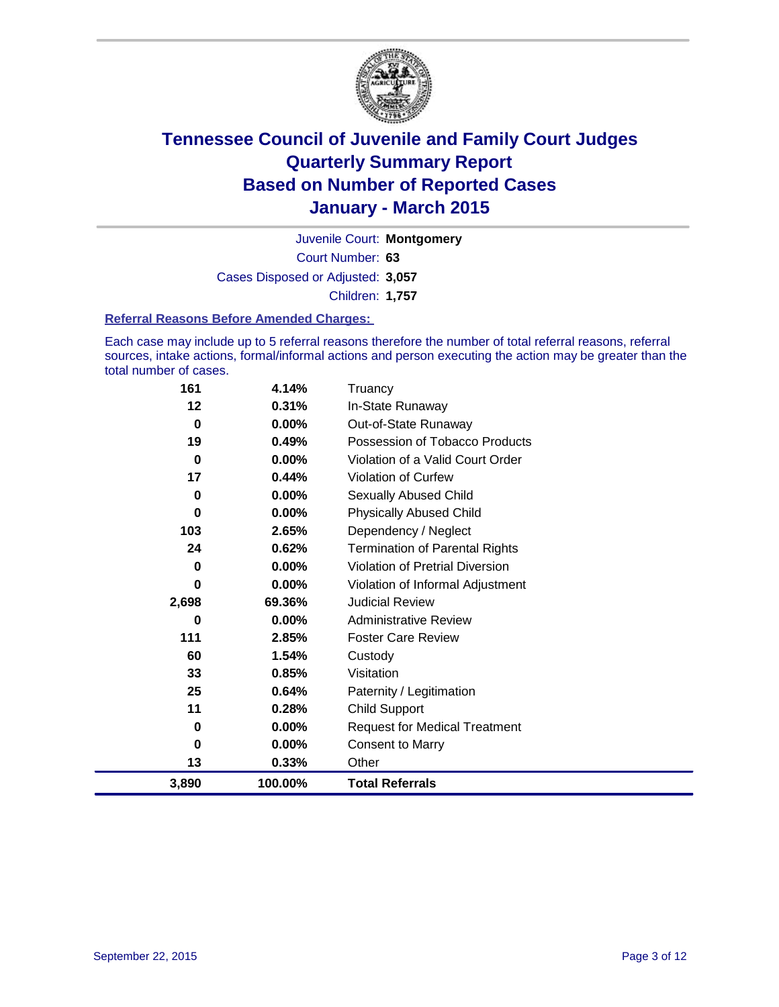

Court Number: **63** Juvenile Court: **Montgomery** Cases Disposed or Adjusted: **3,057** Children: **1,757**

### **Referral Reasons Before Amended Charges:**

Each case may include up to 5 referral reasons therefore the number of total referral reasons, referral sources, intake actions, formal/informal actions and person executing the action may be greater than the total number of cases.

| 161         | 4.14%   | Truancy                                |
|-------------|---------|----------------------------------------|
| 12          | 0.31%   | In-State Runaway                       |
| $\mathbf 0$ | 0.00%   | Out-of-State Runaway                   |
| 19          | 0.49%   | Possession of Tobacco Products         |
| $\bf{0}$    | 0.00%   | Violation of a Valid Court Order       |
| 17          | 0.44%   | Violation of Curfew                    |
| 0           | 0.00%   | Sexually Abused Child                  |
| 0           | 0.00%   | <b>Physically Abused Child</b>         |
| 103         | 2.65%   | Dependency / Neglect                   |
| 24          | 0.62%   | <b>Termination of Parental Rights</b>  |
| 0           | 0.00%   | <b>Violation of Pretrial Diversion</b> |
| 0           | 0.00%   | Violation of Informal Adjustment       |
| 2,698       | 69.36%  | <b>Judicial Review</b>                 |
| 0           | 0.00%   | <b>Administrative Review</b>           |
| 111         | 2.85%   | <b>Foster Care Review</b>              |
| 60          | 1.54%   | Custody                                |
| 33          | 0.85%   | Visitation                             |
| 25          | 0.64%   | Paternity / Legitimation               |
| 11          | 0.28%   | <b>Child Support</b>                   |
| 0           | 0.00%   | <b>Request for Medical Treatment</b>   |
| $\bf{0}$    | 0.00%   | <b>Consent to Marry</b>                |
| 13          | 0.33%   | Other                                  |
| 3,890       | 100.00% | <b>Total Referrals</b>                 |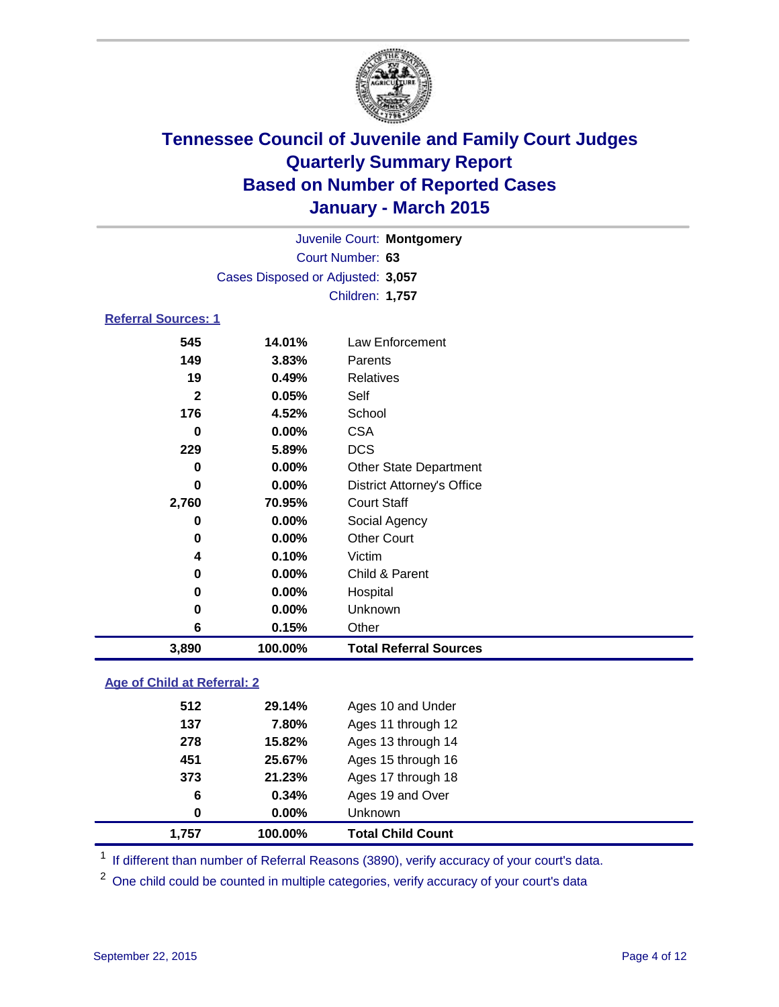

| Juvenile Court: Montgomery        |  |
|-----------------------------------|--|
| Court Number: 63                  |  |
| Cases Disposed or Adjusted: 3.057 |  |
| Children: 1,757                   |  |
| <b>Referral Sources: 1</b>        |  |

| 3,890 | 100.00%  | <b>Total Referral Sources</b>     |  |
|-------|----------|-----------------------------------|--|
| 6     | 0.15%    | Other                             |  |
| 0     | $0.00\%$ | Unknown                           |  |
| 0     | $0.00\%$ | Hospital                          |  |
| 0     | $0.00\%$ | Child & Parent                    |  |
| 4     | 0.10%    | Victim                            |  |
| 0     | $0.00\%$ | <b>Other Court</b>                |  |
| 0     | $0.00\%$ | Social Agency                     |  |
| 2,760 | 70.95%   | <b>Court Staff</b>                |  |
| 0     | $0.00\%$ | <b>District Attorney's Office</b> |  |
| 0     | $0.00\%$ | <b>Other State Department</b>     |  |
| 229   | 5.89%    | <b>DCS</b>                        |  |
| 0     | 0.00%    | <b>CSA</b>                        |  |
| 176   | 4.52%    | School                            |  |
| 2     | 0.05%    | Self                              |  |
| 19    | 0.49%    | <b>Relatives</b>                  |  |
| 149   | 3.83%    | Parents                           |  |
| 545   | 14.01%   | Law Enforcement                   |  |

### **Age of Child at Referral: 2**

| 1,757 | 100.00%  | <b>Total Child Count</b> |
|-------|----------|--------------------------|
| 0     | $0.00\%$ | <b>Unknown</b>           |
| 6     | 0.34%    | Ages 19 and Over         |
| 373   | 21.23%   | Ages 17 through 18       |
| 451   | 25.67%   | Ages 15 through 16       |
| 278   | 15.82%   | Ages 13 through 14       |
| 137   | 7.80%    | Ages 11 through 12       |
| 512   | 29.14%   | Ages 10 and Under        |
|       |          |                          |

<sup>1</sup> If different than number of Referral Reasons (3890), verify accuracy of your court's data.

One child could be counted in multiple categories, verify accuracy of your court's data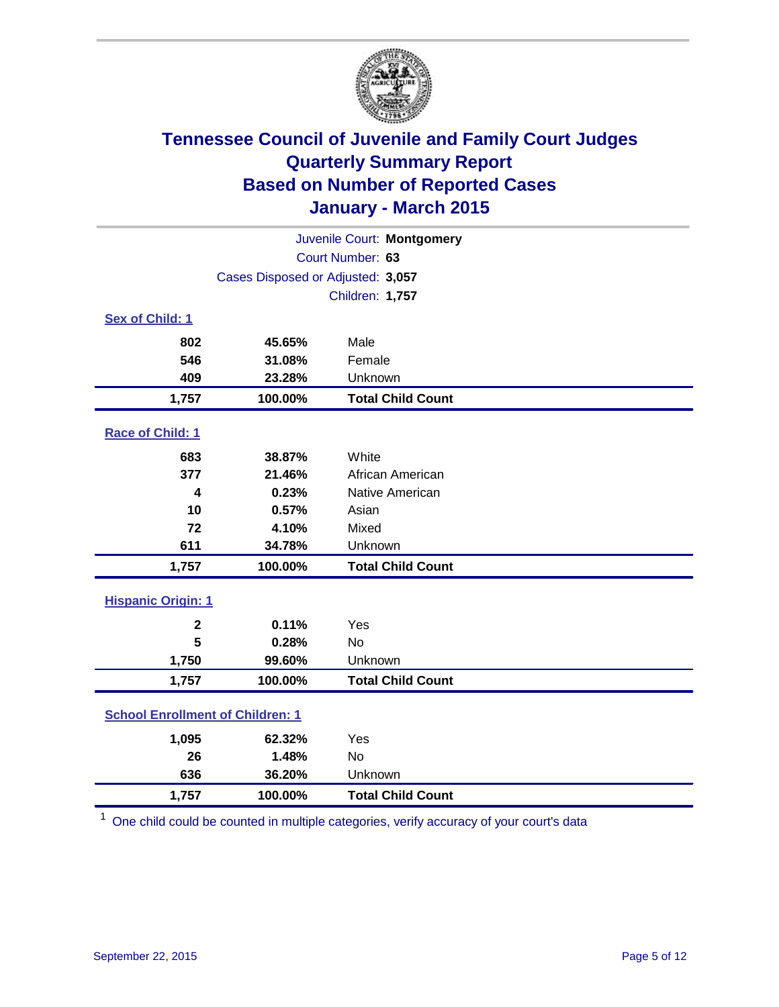

| Juvenile Court: Montgomery              |                                   |                          |  |
|-----------------------------------------|-----------------------------------|--------------------------|--|
|                                         |                                   | Court Number: 63         |  |
|                                         | Cases Disposed or Adjusted: 3,057 |                          |  |
|                                         |                                   | Children: 1,757          |  |
| Sex of Child: 1                         |                                   |                          |  |
| 802                                     | 45.65%                            | Male                     |  |
| 546                                     | 31.08%                            | Female                   |  |
| 409                                     | 23.28%                            | Unknown                  |  |
| 1,757                                   | 100.00%                           | <b>Total Child Count</b> |  |
| <b>Race of Child: 1</b>                 |                                   |                          |  |
| 683                                     | 38.87%                            | White                    |  |
| 377                                     | 21.46%                            | African American         |  |
| 4                                       | 0.23%                             | Native American          |  |
| 10                                      | 0.57%                             | Asian                    |  |
| 72                                      | 4.10%                             | Mixed                    |  |
| 611                                     | 34.78%                            | Unknown                  |  |
| 1,757                                   | 100.00%                           | <b>Total Child Count</b> |  |
| <b>Hispanic Origin: 1</b>               |                                   |                          |  |
| $\mathbf 2$                             | 0.11%                             | Yes                      |  |
| 5                                       | 0.28%                             | <b>No</b>                |  |
| 1,750                                   | 99.60%                            | Unknown                  |  |
| 1,757                                   | 100.00%                           | <b>Total Child Count</b> |  |
| <b>School Enrollment of Children: 1</b> |                                   |                          |  |
| 1,095                                   | 62.32%                            | Yes                      |  |
| 26                                      | 1.48%                             | <b>No</b>                |  |
| 636                                     | 36.20%                            | Unknown                  |  |
| 1,757                                   | 100.00%                           | <b>Total Child Count</b> |  |

<sup>1</sup> One child could be counted in multiple categories, verify accuracy of your court's data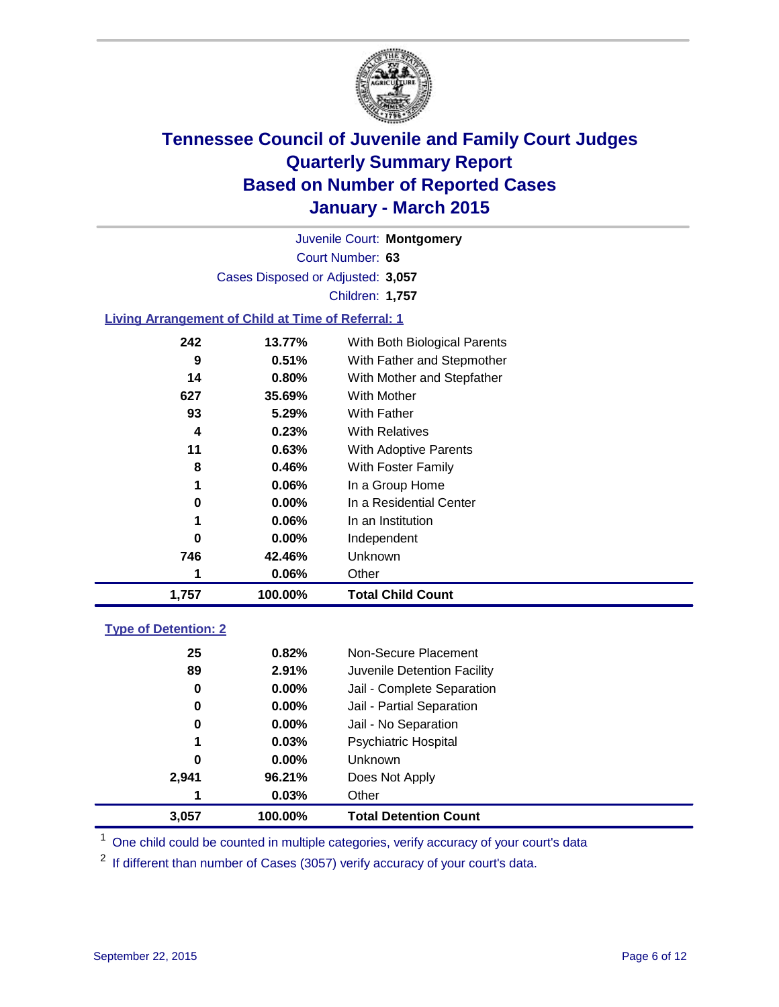

Court Number: **63** Juvenile Court: **Montgomery** Cases Disposed or Adjusted: **3,057** Children: **1,757**

### **Living Arrangement of Child at Time of Referral: 1**

| 1,757 | 100.00%  | <b>Total Child Count</b>     |
|-------|----------|------------------------------|
| 1     | 0.06%    | Other                        |
| 746   | 42.46%   | Unknown                      |
| 0     | $0.00\%$ | Independent                  |
| 1     | 0.06%    | In an Institution            |
| 0     | $0.00\%$ | In a Residential Center      |
| 1     | 0.06%    | In a Group Home              |
| 8     | 0.46%    | With Foster Family           |
| 11    | 0.63%    | <b>With Adoptive Parents</b> |
| 4     | 0.23%    | <b>With Relatives</b>        |
| 93    | 5.29%    | With Father                  |
| 627   | 35.69%   | <b>With Mother</b>           |
| 14    | 0.80%    | With Mother and Stepfather   |
| 9     | 0.51%    | With Father and Stepmother   |
| 242   | 13.77%   | With Both Biological Parents |
|       |          |                              |

### **Type of Detention: 2**

| 25       | 0.82%    | Non-Secure Placement         |
|----------|----------|------------------------------|
| 89       | 2.91%    | Juvenile Detention Facility  |
| $\bf{0}$ | $0.00\%$ | Jail - Complete Separation   |
| 0        | 0.00%    | Jail - Partial Separation    |
| 0        | $0.00\%$ | Jail - No Separation         |
| 1        | 0.03%    | <b>Psychiatric Hospital</b>  |
| 0        | $0.00\%$ | <b>Unknown</b>               |
| 2,941    | 96.21%   | Does Not Apply               |
| 1        | 0.03%    | Other                        |
| 3,057    | 100.00%  | <b>Total Detention Count</b> |

<sup>1</sup> One child could be counted in multiple categories, verify accuracy of your court's data

If different than number of Cases (3057) verify accuracy of your court's data.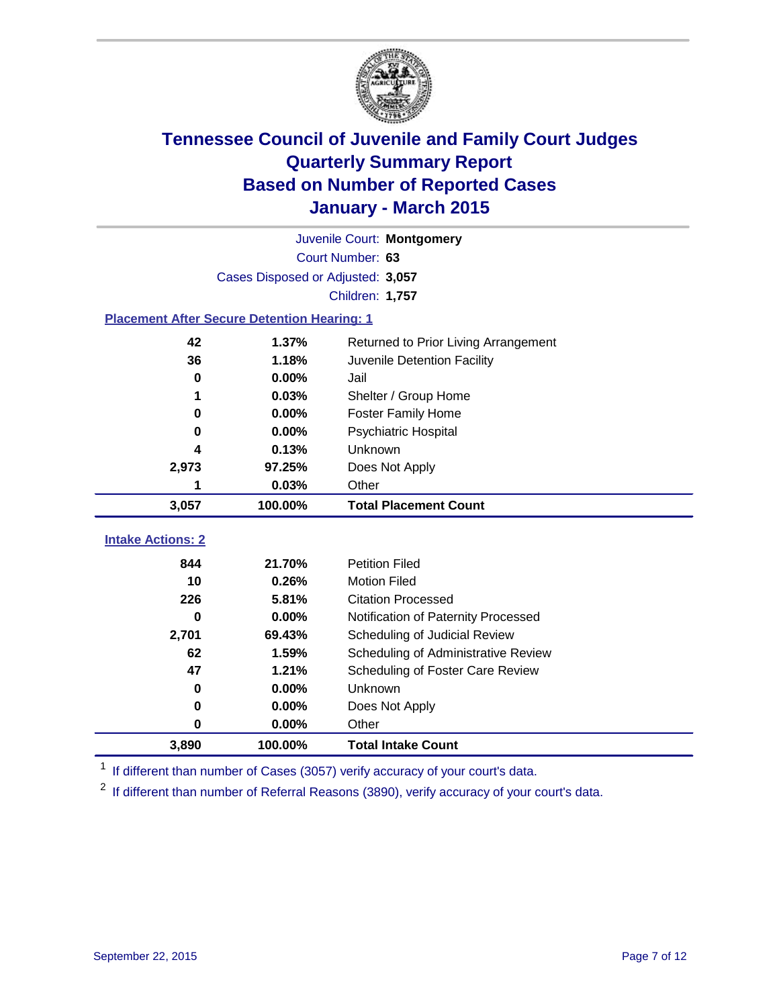

|                                                    | Juvenile Court: Montgomery        |                                      |  |  |  |  |
|----------------------------------------------------|-----------------------------------|--------------------------------------|--|--|--|--|
|                                                    | Court Number: 63                  |                                      |  |  |  |  |
|                                                    | Cases Disposed or Adjusted: 3,057 |                                      |  |  |  |  |
|                                                    | Children: 1,757                   |                                      |  |  |  |  |
| <b>Placement After Secure Detention Hearing: 1</b> |                                   |                                      |  |  |  |  |
| 42                                                 | 1.37%                             | Returned to Prior Living Arrangement |  |  |  |  |
| 36                                                 | 1.18%                             | Juvenile Detention Facility          |  |  |  |  |
| 0                                                  | 0.00%                             | Jail                                 |  |  |  |  |
| 1                                                  | 0.03%                             | Shelter / Group Home                 |  |  |  |  |
| 0                                                  | 0.00%                             | <b>Foster Family Home</b>            |  |  |  |  |
| $\bf{0}$                                           | 0.00%                             | <b>Psychiatric Hospital</b>          |  |  |  |  |
| 4                                                  | 0.13%                             | Unknown                              |  |  |  |  |
| 2,973                                              | 97.25%                            | Does Not Apply                       |  |  |  |  |
| 1                                                  | 0.03%                             | Other                                |  |  |  |  |
| 3,057                                              | 100.00%                           | <b>Total Placement Count</b>         |  |  |  |  |
| <b>Intake Actions: 2</b>                           |                                   |                                      |  |  |  |  |
| 844                                                |                                   |                                      |  |  |  |  |
|                                                    | 21.70%                            | <b>Petition Filed</b>                |  |  |  |  |
| 10                                                 | 0.26%                             | <b>Motion Filed</b>                  |  |  |  |  |
| 226                                                | 5.81%                             | <b>Citation Processed</b>            |  |  |  |  |
| 0                                                  | 0.00%                             | Notification of Paternity Processed  |  |  |  |  |
| 2,701                                              | 69.43%                            | Scheduling of Judicial Review        |  |  |  |  |
| 62                                                 | 1.59%                             | Scheduling of Administrative Review  |  |  |  |  |
| 47                                                 | 1.21%                             | Scheduling of Foster Care Review     |  |  |  |  |
| 0                                                  | 0.00%                             | Unknown                              |  |  |  |  |
| 0                                                  | 0.00%                             | Does Not Apply                       |  |  |  |  |
| 0                                                  | 0.00%                             | Other                                |  |  |  |  |

<sup>1</sup> If different than number of Cases (3057) verify accuracy of your court's data.

<sup>2</sup> If different than number of Referral Reasons (3890), verify accuracy of your court's data.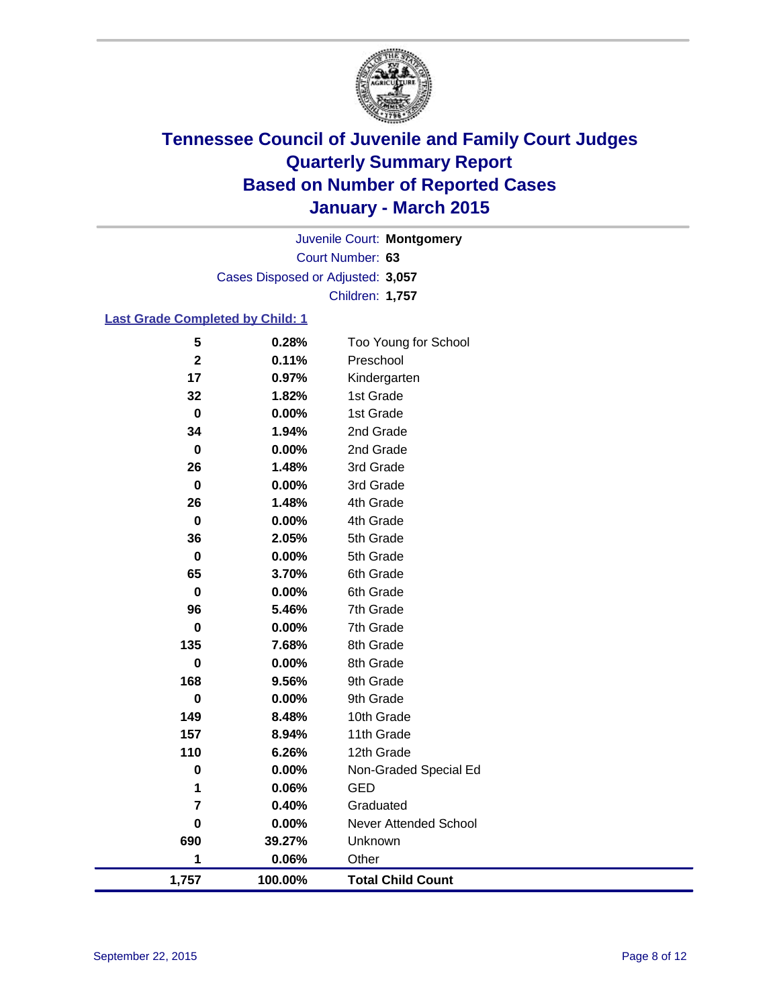

Court Number: **63** Juvenile Court: **Montgomery** Cases Disposed or Adjusted: **3,057** Children: **1,757**

### **Last Grade Completed by Child: 1**

| 5                       | 0.28%   | Too Young for School     |
|-------------------------|---------|--------------------------|
| $\mathbf 2$             | 0.11%   | Preschool                |
| 17                      | 0.97%   | Kindergarten             |
| 32                      | 1.82%   | 1st Grade                |
| $\pmb{0}$               | 0.00%   | 1st Grade                |
| 34                      | 1.94%   | 2nd Grade                |
| $\mathbf 0$             | 0.00%   | 2nd Grade                |
| 26                      | 1.48%   | 3rd Grade                |
| $\mathbf 0$             | 0.00%   | 3rd Grade                |
| 26                      | 1.48%   | 4th Grade                |
| $\mathbf 0$             | 0.00%   | 4th Grade                |
| 36                      | 2.05%   | 5th Grade                |
| $\mathbf 0$             | 0.00%   | 5th Grade                |
| 65                      | 3.70%   | 6th Grade                |
| $\mathbf 0$             | 0.00%   | 6th Grade                |
| 96                      | 5.46%   | 7th Grade                |
| $\bf{0}$                | 0.00%   | 7th Grade                |
| 135                     | 7.68%   | 8th Grade                |
| $\mathbf 0$             | 0.00%   | 8th Grade                |
| 168                     | 9.56%   | 9th Grade                |
| $\bf{0}$                | 0.00%   | 9th Grade                |
| 149                     | 8.48%   | 10th Grade               |
| 157                     | 8.94%   | 11th Grade               |
| 110                     | 6.26%   | 12th Grade               |
| $\pmb{0}$               | 0.00%   | Non-Graded Special Ed    |
| 1                       | 0.06%   | <b>GED</b>               |
| $\overline{\mathbf{r}}$ | 0.40%   | Graduated                |
| $\mathbf 0$             | 0.00%   | Never Attended School    |
| 690                     | 39.27%  | Unknown                  |
| 1                       | 0.06%   | Other                    |
| 1,757                   | 100.00% | <b>Total Child Count</b> |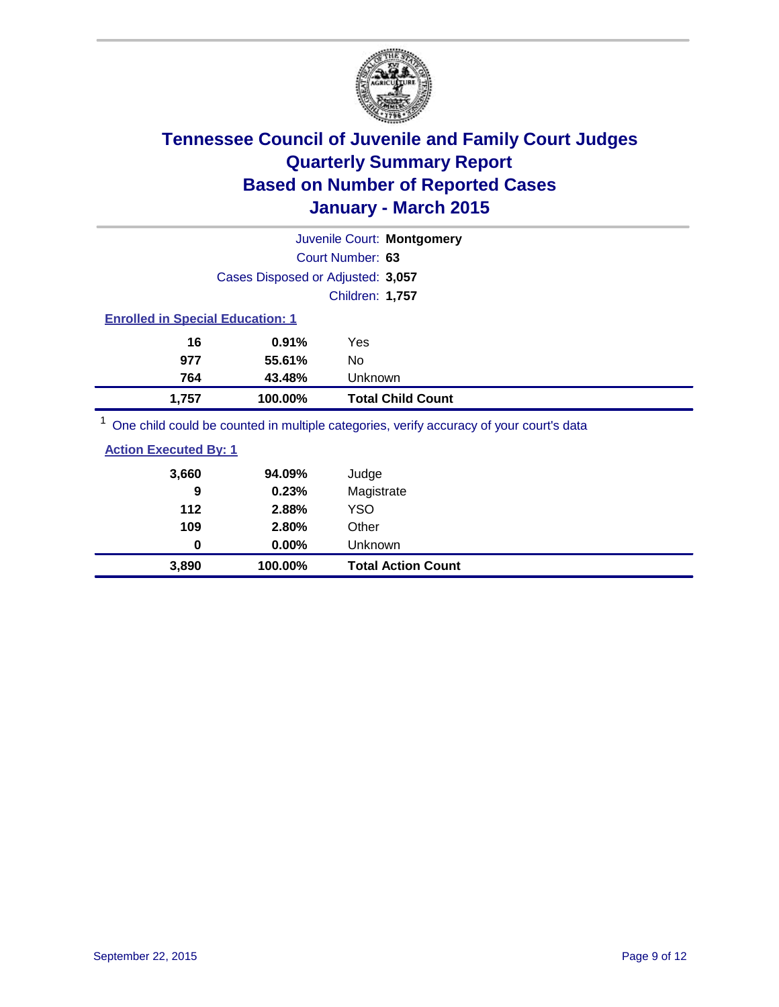

|                                         |                                   | Juvenile Court: Montgomery                                                              |  |  |
|-----------------------------------------|-----------------------------------|-----------------------------------------------------------------------------------------|--|--|
|                                         |                                   | Court Number: 63                                                                        |  |  |
|                                         | Cases Disposed or Adjusted: 3,057 |                                                                                         |  |  |
|                                         |                                   | Children: 1,757                                                                         |  |  |
| <b>Enrolled in Special Education: 1</b> |                                   |                                                                                         |  |  |
| 16                                      | 0.91%                             | Yes                                                                                     |  |  |
| 977                                     | 55.61%                            | No.                                                                                     |  |  |
| 764                                     | 43.48%                            | Unknown                                                                                 |  |  |
| 1,757                                   | 100.00%                           | <b>Total Child Count</b>                                                                |  |  |
|                                         |                                   | One child could be counted in multiple categories, verify accuracy of your court's data |  |  |

ilid could be counted in multiple categories, verify accuracy of your court's

| 94.09% | Judge      |
|--------|------------|
| 0.23%  | Magistrate |
| 2.88%  | YSO        |
|        |            |

| 3,890 | 100.00%  | <b>Total Action Count</b> |
|-------|----------|---------------------------|
|       | $0.00\%$ | Unknown                   |
| 109   | 2.80%    | Other                     |
| 112   | 2.88%    | YSO                       |
| J     | 0.4370   | <b>IVIAYISUALE</b>        |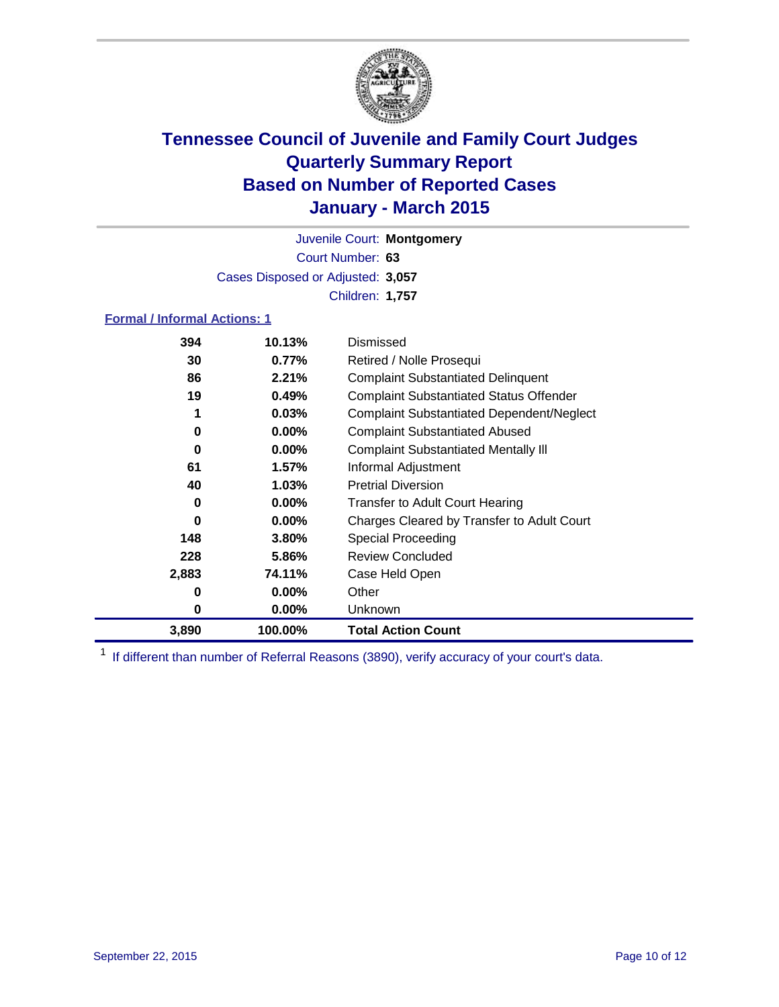

Court Number: **63** Juvenile Court: **Montgomery** Cases Disposed or Adjusted: **3,057** Children: **1,757**

### **Formal / Informal Actions: 1**

| 394   | 10.13%   | <b>Dismissed</b>                                 |
|-------|----------|--------------------------------------------------|
| 30    | $0.77\%$ | Retired / Nolle Prosequi                         |
| 86    | 2.21%    | <b>Complaint Substantiated Delinquent</b>        |
| 19    | 0.49%    | <b>Complaint Substantiated Status Offender</b>   |
|       | 0.03%    | <b>Complaint Substantiated Dependent/Neglect</b> |
| 0     | $0.00\%$ | <b>Complaint Substantiated Abused</b>            |
| 0     | $0.00\%$ | <b>Complaint Substantiated Mentally III</b>      |
| 61    | 1.57%    | Informal Adjustment                              |
| 40    | 1.03%    | <b>Pretrial Diversion</b>                        |
| 0     | $0.00\%$ | <b>Transfer to Adult Court Hearing</b>           |
| 0     | $0.00\%$ | Charges Cleared by Transfer to Adult Court       |
| 148   | 3.80%    | Special Proceeding                               |
| 228   | 5.86%    | <b>Review Concluded</b>                          |
| 2,883 | 74.11%   | Case Held Open                                   |
| 0     | $0.00\%$ | Other                                            |
| 0     | $0.00\%$ | Unknown                                          |
| 3,890 | 100.00%  | <b>Total Action Count</b>                        |

<sup>1</sup> If different than number of Referral Reasons (3890), verify accuracy of your court's data.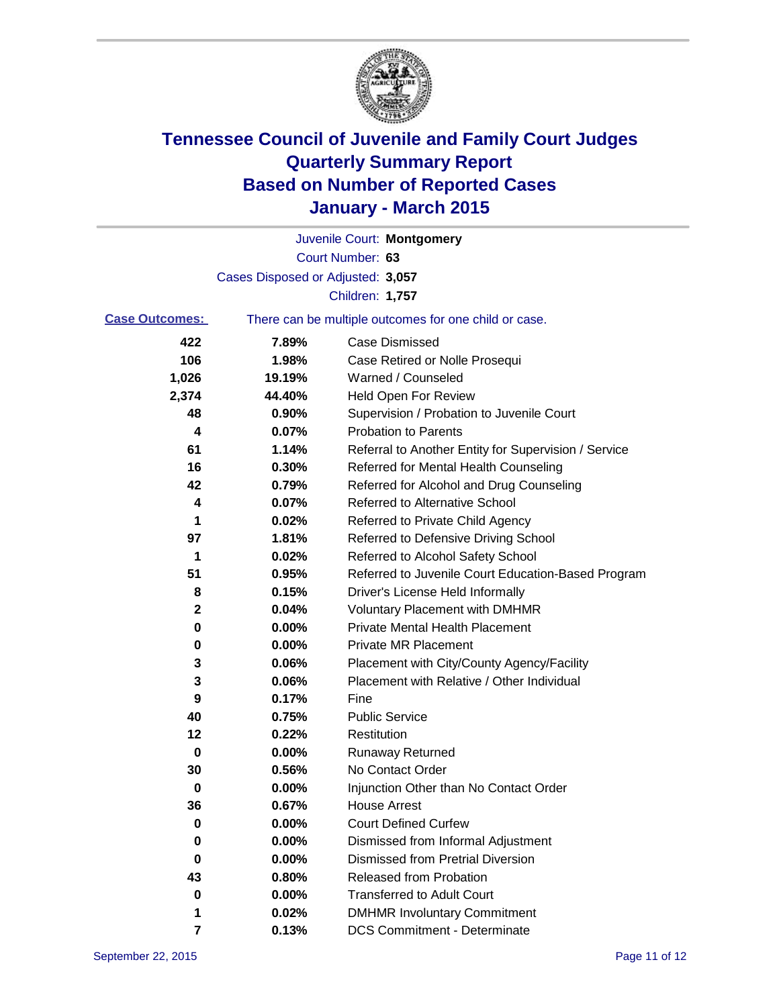

|                                                                                |                                   | Juvenile Court: Montgomery                           |
|--------------------------------------------------------------------------------|-----------------------------------|------------------------------------------------------|
|                                                                                |                                   | Court Number: 63                                     |
|                                                                                | Cases Disposed or Adjusted: 3,057 |                                                      |
|                                                                                |                                   | Children: 1,757                                      |
| <b>Case Outcomes:</b><br>There can be multiple outcomes for one child or case. |                                   |                                                      |
| 422                                                                            | 7.89%                             | <b>Case Dismissed</b>                                |
| 106                                                                            | 1.98%                             | Case Retired or Nolle Prosequi                       |
| 1,026                                                                          | 19.19%                            | Warned / Counseled                                   |
| 2,374                                                                          | 44.40%                            | <b>Held Open For Review</b>                          |
| 48                                                                             | 0.90%                             | Supervision / Probation to Juvenile Court            |
| 4                                                                              | 0.07%                             | <b>Probation to Parents</b>                          |
| 61                                                                             | 1.14%                             | Referral to Another Entity for Supervision / Service |
| 16                                                                             | 0.30%                             | Referred for Mental Health Counseling                |
| 42                                                                             | 0.79%                             | Referred for Alcohol and Drug Counseling             |
| 4                                                                              | 0.07%                             | <b>Referred to Alternative School</b>                |
| 1                                                                              | 0.02%                             | Referred to Private Child Agency                     |
| 97                                                                             | 1.81%                             | Referred to Defensive Driving School                 |
| 1                                                                              | 0.02%                             | Referred to Alcohol Safety School                    |
| 51                                                                             | 0.95%                             | Referred to Juvenile Court Education-Based Program   |
| 8                                                                              | 0.15%                             | Driver's License Held Informally                     |
| 2                                                                              | 0.04%                             | <b>Voluntary Placement with DMHMR</b>                |
| 0                                                                              | 0.00%                             | <b>Private Mental Health Placement</b>               |
| 0                                                                              | 0.00%                             | <b>Private MR Placement</b>                          |
| 3                                                                              | 0.06%                             | Placement with City/County Agency/Facility           |
| 3                                                                              | 0.06%                             | Placement with Relative / Other Individual           |
| 9                                                                              | 0.17%                             | Fine                                                 |
| 40                                                                             | 0.75%                             | <b>Public Service</b>                                |
| 12                                                                             | 0.22%                             | Restitution                                          |
| 0                                                                              | 0.00%                             | <b>Runaway Returned</b>                              |
| 30                                                                             | 0.56%                             | No Contact Order                                     |
| 0                                                                              | 0.00%                             | Injunction Other than No Contact Order               |
| 36                                                                             | 0.67%                             | House Arrest                                         |
| 0                                                                              | 0.00%                             | <b>Court Defined Curfew</b>                          |
| 0                                                                              | 0.00%                             | Dismissed from Informal Adjustment                   |
| 0                                                                              | $0.00\%$                          | <b>Dismissed from Pretrial Diversion</b>             |
| 43                                                                             | 0.80%                             | Released from Probation                              |
| 0                                                                              | 0.00%                             | <b>Transferred to Adult Court</b>                    |
| 1                                                                              | 0.02%                             | <b>DMHMR Involuntary Commitment</b>                  |
| 7                                                                              | 0.13%                             | <b>DCS Commitment - Determinate</b>                  |